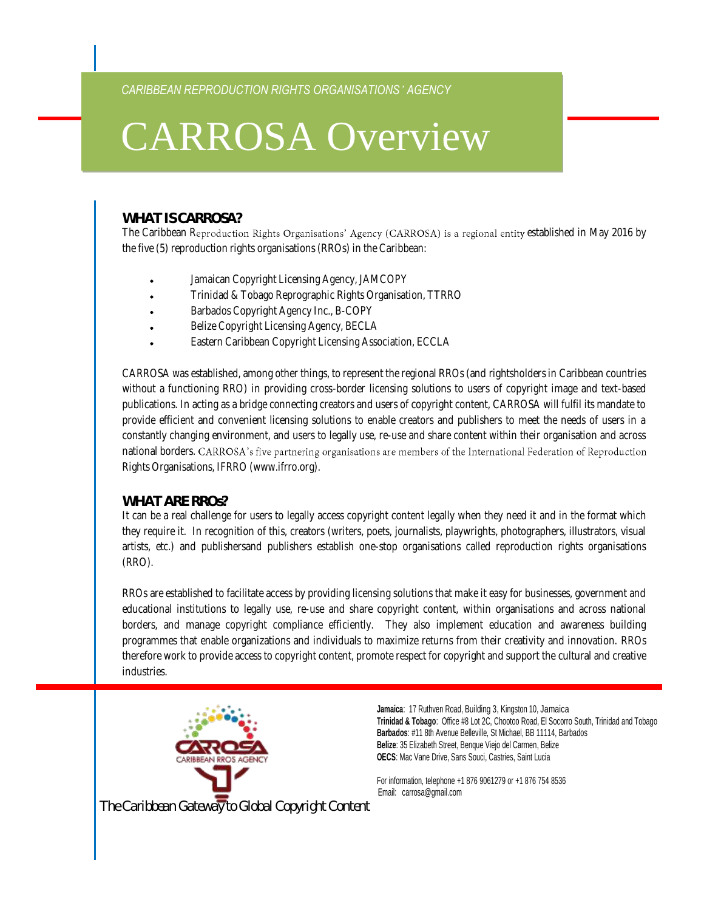*CARIBBEAN REPRODUCTION RIGHTS ORGANISATIONS' AGENCY*

# CARROSA Overview

## **WHAT IS CARROSA?**

The Caribbean Reproduction Rights Organisations' Agency (CARROSA) is a regional entity established in May 2016 by the five (5) reproduction rights organisations (RROs) in the Caribbean:

- Jamaican Copyright Licensing Agency, JAMCOPY
- Trinidad & Tobago Reprographic Rights Organisation, TTRRO
- Barbados Copyright Agency Inc., B-COPY
- Belize Copyright Licensing Agency, BECLA
- Eastern Caribbean Copyright Licensing Association, ECCLA

CARROSA was established, among other things, to represent the regional RROs (and rightsholders in Caribbean countries without a functioning RRO) in providing cross-border licensing solutions to users of copyright image and text-based publications. In acting as a bridge connecting creators and users of copyright content, CARROSA will fulfil its mandate to provide efficient and convenient licensing solutions to enable creators and publishers to meet the needs of users in a constantly changing environment, and users to legally use, re-use and share content within their organisation and across national borders. CARROSA's five partnering organisations are members of the International Federation of Reproduction Rights Organisations, IFRRO (www.ifrro.org).

#### **WHAT ARE RROs?**

It can be a real challenge for users to legally access copyright content legally when they need it and in the format which they require it. In recognition of this, creators (writers, poets, journalists, playwrights, photographers, illustrators, visual artists, etc.) and publishersand publishers establish one-stop organisations called reproduction rights organisations (RRO).

RROs are established to facilitate access by providing licensing solutions that make it easy for businesses, government and educational institutions to legally use, re-use and share copyright content, within organisations and across national borders, and manage copyright compliance efficiently. They also implement education and awareness building programmes that enable organizations and individuals to maximize returns from their creativity and innovation. RROs therefore work to provide access to copyright content, promote respect for copyright and support the cultural and creative industries.



**Jamaica**: 17 Ruthven Road, Building 3, Kingston 10, Jamaica **Trinidad & Tobago**: Office #8 Lot 2C, Chootoo Road, El Socorro South, Trinidad and Tobago **Barbados**: #11 8th Avenue Belleville, St Michael, BB 11114, Barbados **Belize**: 35 Elizabeth Street, Benque Viejo del Carmen, Belize **OECS**: Mac Vane Drive, Sans Souci, Castries, Saint Lucia

For information, telephone +1 876 9061279 or +1 876 754 8536 Email: carrosa@gmail.com